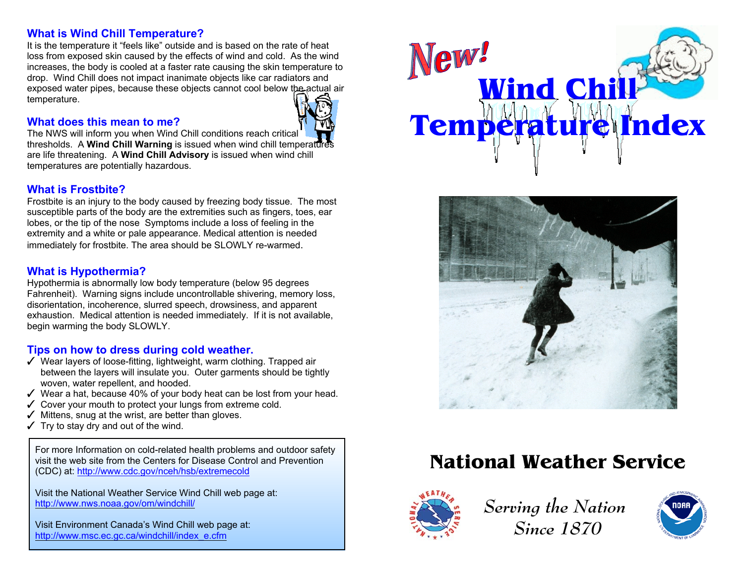### **What is Wind Chill Temperature?**

It is the temperature it "feels like" outside and is based on the rate of heat loss from exposed skin caused by the effects of wind and cold. As the wind increases, the body is cooled at a faster rate causing the skin temperature to drop. Wind Chill does not impact inanimate objects like car radiators and exposed water pipes, because these objects cannot cool below the actual air temperature.

#### **What does this mean to me?**

The NWS will inform you when Wind Chill conditions reach critical thresholds. A **Wind Chill Warning** is issued when wind chill temperature are life threatening. A **Wind Chill Advisory** is issued when wind chill temperatures are potentially hazardous.

#### **What is Frostbite?**

Frostbite is an injury to the body caused by freezing body tissue. The most susceptible parts of the body are the extremities such as fingers, toes, ear lobes, or the tip of the nose Symptoms include a loss of feeling in the extremity and a white or pale appearance. Medical attention is needed immediately for frostbite. The area should be SLOWLY re-warmed.

#### **What is Hypothermia?**

Hypothermia is abnormally low body temperature (below 95 degrees Fahrenheit). Warning signs include uncontrollable shivering, memory loss, disorientation, incoherence, slurred speech, drowsiness, and apparent exhaustion. Medical attention is needed immediately. If it is not available, begin warming the body SLOWLY.

### **Tips on how to dress during cold weather.**

- $\checkmark$  Wear layers of loose-fitting, lightweight, warm clothing. Trapped air between the layers will insulate you. Outer garments should be tightly woven, water repellent, and hooded.
- $\checkmark$  Wear a hat, because 40% of your body heat can be lost from your head.
- $\checkmark$  Cover your mouth to protect your lungs from extreme cold.
- $\checkmark$  Mittens, snug at the wrist, are better than gloves.
- $\checkmark$  Try to stay dry and out of the wind.

For more Information on cold-related health problems and outdoor safety visit the web site from the Centers for Disease Control and Prevention(CDC) at: http://www.cdc.gov/nceh/hsb/extremecold

Visit the National Weather Service Wind Chill web page at: http://www.nws.noaa.gov/om/windchill/

Visit Environment Canada's Wind Chill web page at: http://www.msc.ec.gc.ca/windchill/index\_e.cfm





# **National Weather Service**



*Serving the Nation Since 1870*